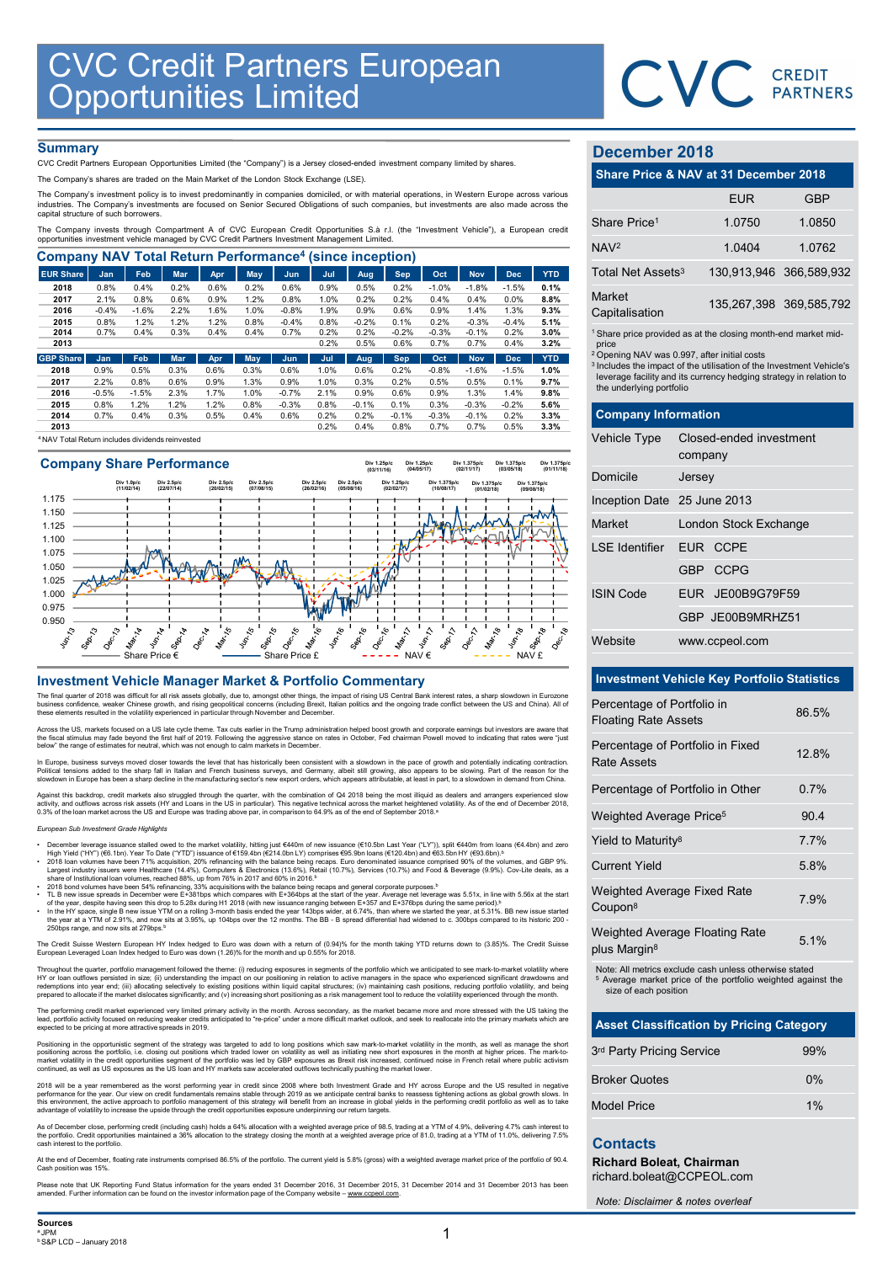

# **Summary**

| <b>CVC Credit Partners European<br/>Opportunities Limited</b>                                                                                                                                                               |                 |                 |              |              |              |                 |              |              |              |              |              |              |              |                                                                               |                         |            |
|-----------------------------------------------------------------------------------------------------------------------------------------------------------------------------------------------------------------------------|-----------------|-----------------|--------------|--------------|--------------|-----------------|--------------|--------------|--------------|--------------|--------------|--------------|--------------|-------------------------------------------------------------------------------|-------------------------|------------|
|                                                                                                                                                                                                                             |                 |                 |              |              |              |                 |              |              |              |              |              |              |              |                                                                               | <b>CVC</b> CREDIT       |            |
|                                                                                                                                                                                                                             |                 |                 |              |              |              |                 |              |              |              |              |              |              |              |                                                                               |                         |            |
|                                                                                                                                                                                                                             |                 |                 |              |              |              |                 |              |              |              |              |              |              |              |                                                                               |                         |            |
|                                                                                                                                                                                                                             |                 |                 |              |              |              |                 |              |              |              |              |              |              |              |                                                                               |                         |            |
| <b>Summary</b>                                                                                                                                                                                                              |                 |                 |              |              |              |                 |              |              |              |              |              |              |              | <b>December 2018</b>                                                          |                         |            |
| CVC Credit Partners European Opportunities Limited (the "Company") is a Jersey closed-ended investment company limited by shares.<br>The Company's shares are traded on the Main Market of the London Stock Exchange (LSE). |                 |                 |              |              |              |                 |              |              |              |              |              |              |              | Share Price & NAV at 31 December 2018                                         |                         |            |
| The Company's investment policy is to invest predominantly in companies domiciled, or with material operations, in Western Europe across various                                                                            |                 |                 |              |              |              |                 |              |              |              |              |              |              |              |                                                                               |                         |            |
| industries. The Company's investments are focused on Senior Secured Obligations of such companies, but investments are also made across the                                                                                 |                 |                 |              |              |              |                 |              |              |              |              |              |              |              |                                                                               | <b>EUR</b>              | <b>GBP</b> |
| capital structure of such borrowers.<br>The Company invests through Compartment A of CVC European Credit Opportunities S.à r.l. (the "Investment Vehicle"), a European credit                                               |                 |                 |              |              |              |                 |              |              |              |              |              |              |              | Share Price <sup>1</sup>                                                      | 1.0750                  | 1.0850     |
| opportunities investment vehicle managed by CVC Credit Partners Investment Management Limited.                                                                                                                              |                 |                 |              |              |              |                 |              |              |              |              |              |              |              |                                                                               |                         |            |
| <b>Company NAV Total Return Performance<sup>4</sup> (since inception)</b>                                                                                                                                                   |                 |                 |              |              |              |                 |              |              |              |              |              |              |              | NAV <sup>2</sup>                                                              | 1.0404                  | 1.0762     |
| <b>EUR Share</b>                                                                                                                                                                                                            | Jan             | Feb             | Mar          | Apr          | <b>May</b>   | Jun             | Jul          | Aug          | <b>Sep</b>   | Oct          | <b>Nov</b>   | <b>Dec</b>   | <b>YTD</b>   | Total Net Assets <sup>3</sup>                                                 | 130,913,946             | 366,589.93 |
| 2018                                                                                                                                                                                                                        | 0.8%            | 0.4%            | 0.2%         | 0.6%         | 0.2%         | 0.6%            | 0.9%         | 0.5%         | 0.2%         | $-1.0%$      | $-1.8%$      | $-1.5%$      | 0.1%         | Market                                                                        |                         |            |
| 2017<br>2016                                                                                                                                                                                                                | 2.1%<br>$-0.4%$ | 0.8%<br>$-1.6%$ | 0.6%<br>2.2% | 0.9%<br>1.6% | 1.2%<br>1.0% | 0.8%<br>$-0.8%$ | 1.0%<br>1.9% | 0.2%<br>0.9% | 0.2%<br>0.6% | 0.4%<br>0.9% | 0.4%<br>1.4% | 0.0%<br>1.3% | 8.8%<br>9.3% |                                                                               | 135,267,398 369,585,79  |            |
| 2015                                                                                                                                                                                                                        | 0.8%            | 1.2%            | 1.2%         | 1.2%         | 0.8%         | $-0.4%$         | 0.8%         | $-0.2%$      | 0.1%         | 0.2%         | $-0.3%$      | $-0.4%$      | 5.1%         | Capitalisation                                                                |                         |            |
| 2014                                                                                                                                                                                                                        | 0.7%            | 0.4%            | 0.3%         | 0.4%         | 0.4%         | 0.7%            | 0.2%         | 0.2%         | $-0.2%$      | $-0.3%$      | $-0.1%$      | 0.2%         | 3.0%         | <sup>1</sup> Share price provided as at the closing month-end market mid      |                         |            |
| 2013                                                                                                                                                                                                                        |                 |                 |              |              |              |                 | 0.2%         | 0.5%         | 0.6%         | 0.7%         | 0.7%         | 0.4%         | 3.2%         | price                                                                         |                         |            |
| <b>GBP Share</b>                                                                                                                                                                                                            | Jan             | Feb             | <b>Mar</b>   | Apr          | May          | Jun             | Jul          | Aug          | <b>Sep</b>   | Oct          | <b>Nov</b>   | <b>Dec</b>   | <b>YTD</b>   | <sup>2</sup> Opening NAV was 0.997, after initial costs                       |                         |            |
| 2018                                                                                                                                                                                                                        | 0.9%            | 0.5%            | 0.3%         | 0.6%         | 0.3%         | 0.6%            | 1.0%         | 0.6%         | 0.2%         | $-0.8%$      | $-1.6%$      | $-1.5%$      | 1.0%         | <sup>3</sup> Includes the impact of the utilisation of the Investment Vehicle |                         |            |
| 2017                                                                                                                                                                                                                        | 2.2%            | 0.8%            | 0.6%         | 0.9%         | 1.3%         | 0.9%            | 1.0%         | 0.3%         | 0.2%         | 0.5%         | 0.5%         | 0.1%         | 9.7%         | leverage facility and its currency hedging strategy in relation t             |                         |            |
| 2016                                                                                                                                                                                                                        | $-0.5%$         | $-1.5%$         | 2.3%         | 1.7%         | 1.0%         | $-0.7%$         | 2.1%         | 0.9%         | 0.6%         | 0.9%         | 1.3%         | 1.4%         | 9.8%         | the underlying portfolio                                                      |                         |            |
| 2015                                                                                                                                                                                                                        | 0.8%            | 1.2%            | 1.2%         | 1.2%         | 0.8%         | $-0.3%$         | 0.8%         | $-0.1%$      | 0.1%         | 0.3%         | $-0.3%$      | $-0.2%$      | 5.6%         |                                                                               |                         |            |
| 2014                                                                                                                                                                                                                        | 0.7%            | 0.4%            | 0.3%         | 0.5%         | 0.4%         | 0.6%            | 0.2%         | 0.2%         | $-0.1%$      | $-0.3%$      | $-0.1%$      | 0.2%         | 3.3%         | <b>Company Information</b>                                                    |                         |            |
| 2013                                                                                                                                                                                                                        |                 |                 |              |              |              |                 | 0.2%         | 0.4%         | 0.8%         | 0.7%         | 0.7%         | 0.5%         | 3.3%         |                                                                               |                         |            |
| <sup>4</sup> NAV Total Return includes dividends reinvested                                                                                                                                                                 |                 |                 |              |              |              |                 |              |              |              |              |              |              |              | Vehicle Tvpe                                                                  | Closed-ended investment |            |



The final quarter of 2018 was difficult for all risk assets globally, due to, amongst other things, the impact of rising US Central Bank interest rates, a sharp slowdown in Eurozone<br>business confidence, weaker Chinese grow

Across the US, markets focused on a US late cycle theme. Tax cuts earlier in the Trump administration helped boost growth and corporate earnings but investors are aware that<br>the fiscal stimulus may fade beyond the first ha

In Europe, business surveys moved closer towards the level that has historically been consistent with a slowdown in the pace of growth and potentially indicating contraction.<br>Political tensions added to the sharp fall in I

Against this backdrop, credit markets also struggled through the quarter, with the combination of Q4 2018 being the most illiquid as dealers and arrangers experienced slow<br>activity, and outflows across risk assets (HY and

## European Sub Investment Grade Highlights

- 
- December leverage issuance stalled owed to the market volatility, hitting just €440m of new issuance (€10.5bn Last Year ("LY")), split €440m from loans (€4.4bn) and zero<br>High Yield ("HY") (€6.1bn). Year To Date ("YTD")
- 
- 2018 bond volumes have been 54% refinancing, 33% acquisitions with the balance being recaps and general corporate purposes.»<br>T. B new issue spreads in December were E+368 they are the start of the year. Average net leverar 250bps range, and now sits at 279bps.<sup>b</sup>

The Credit Suisse Western European HY Index hedged to Euro was down with a return of (0.94)% for the month taking YTD returns down to (3.85)%. The Credit Suisse European Leveraged Loan Index hedged to Euro was down (1.26)% for the month and up 0.55% for 2018.

Throughout the quarter, portfolio management followed the theme: (i) reducing exposures in segments of the portfolio which we anticipated to see mark-to-market volatility where HY or loan outflows persisted in size; (ii) understanding the impact on our positioning in relation to active managers in the space who experienced significant drawdowns and<br>redemptions into year end; (ii) allocating selec

The performing credit market experienced very limited primary activity in the month. Across secondary, as the market became more and more stressed with the US taking the<br>lead, portfolio activity focused on reducing weaker

Positioning in the opportunistic segment of the strategy was targeted to add to long positions which saw mark-to-market volatility in the month, as well as manage the short<br>market volatility in the credit opportunities seg

2018 will be a year remembered as the worst performing year in credit since 2008 where both Investment Grade and HY across Europe and the US resulted in negative<br>performance for the year. Our view on credit fundamentals re

As of December close, performing credit (including cash) holds a 64% allocation with a weighted average price of 98.5, trading at a YTM of 4.9%, delivering 4.7% cash interest to<br>the portfolio. Credit opportunities maintain

At the end of December, floating rate instruments comprised 86.5% of the portfolio. The current yield is 5.8% (gross) with a weighted average market price of the portfolio of 90.4. Cash position was 15%.

Please note that UK Reporting Fund Status information for the years ended 31 December 2016, 31 December 2015, 31 December 2014 and 31 December 2013 has been<br>amended. Further information can be found on the investor informa

# December 2018

|                                   | <b>CVC</b> CREDIT                                                                                                                                                                                                                                                                             |                         |
|-----------------------------------|-----------------------------------------------------------------------------------------------------------------------------------------------------------------------------------------------------------------------------------------------------------------------------------------------|-------------------------|
|                                   |                                                                                                                                                                                                                                                                                               |                         |
|                                   |                                                                                                                                                                                                                                                                                               |                         |
| December 2018                     |                                                                                                                                                                                                                                                                                               |                         |
|                                   | Share Price & NAV at 31 December 2018                                                                                                                                                                                                                                                         |                         |
|                                   | <b>EUR</b>                                                                                                                                                                                                                                                                                    | <b>GBP</b>              |
| Share Price <sup>1</sup>          | 1.0750                                                                                                                                                                                                                                                                                        | 1.0850                  |
| NAV <sup>2</sup>                  | 1.0404                                                                                                                                                                                                                                                                                        | 1.0762                  |
| Total Net Assets <sup>3</sup>     |                                                                                                                                                                                                                                                                                               | 130,913,946 366,589,932 |
| Market<br>Capitalisation          |                                                                                                                                                                                                                                                                                               | 135,267,398 369,585,792 |
| price<br>the underlying portfolio | <sup>1</sup> Share price provided as at the closing month-end market mid-<br><sup>2</sup> Opening NAV was 0.997, after initial costs<br><sup>3</sup> Includes the impact of the utilisation of the Investment Vehicle's<br>leverage facility and its currency hedging strategy in relation to |                         |
| <b>Company Information</b>        |                                                                                                                                                                                                                                                                                               |                         |
| Vehicle Type                      | Closed-ended investment<br>company                                                                                                                                                                                                                                                            |                         |
| Domicile                          | Jersey                                                                                                                                                                                                                                                                                        |                         |
| Inception Date 25 June 2013       |                                                                                                                                                                                                                                                                                               |                         |
| Market                            | London Stock Exchange                                                                                                                                                                                                                                                                         |                         |

|                                                           |                                                                                                                                                                                                                                                                                               | <b>PARTNERS</b>         |
|-----------------------------------------------------------|-----------------------------------------------------------------------------------------------------------------------------------------------------------------------------------------------------------------------------------------------------------------------------------------------|-------------------------|
| December 2018                                             |                                                                                                                                                                                                                                                                                               |                         |
|                                                           | Share Price & NAV at 31 December 2018                                                                                                                                                                                                                                                         |                         |
|                                                           | <b>EUR</b>                                                                                                                                                                                                                                                                                    | <b>GBP</b>              |
| Share Price <sup>1</sup>                                  | 1.0750                                                                                                                                                                                                                                                                                        | 1.0850                  |
| NAV <sup>2</sup>                                          | 1.0404                                                                                                                                                                                                                                                                                        | 1.0762                  |
| Total Net Assets <sup>3</sup>                             |                                                                                                                                                                                                                                                                                               | 130,913,946 366,589,932 |
| <b>Market</b><br>Capitalisation                           |                                                                                                                                                                                                                                                                                               | 135,267,398 369,585,792 |
| price<br>the underlying portfolio                         | <sup>1</sup> Share price provided as at the closing month-end market mid-<br><sup>2</sup> Opening NAV was 0.997, after initial costs<br><sup>3</sup> Includes the impact of the utilisation of the Investment Vehicle's<br>leverage facility and its currency hedging strategy in relation to |                         |
| <b>Company Information</b>                                |                                                                                                                                                                                                                                                                                               |                         |
| Vehicle Type                                              | Closed-ended investment<br>company                                                                                                                                                                                                                                                            |                         |
| Domicile                                                  | Jersey                                                                                                                                                                                                                                                                                        |                         |
| Inception Date 25 June 2013                               |                                                                                                                                                                                                                                                                                               |                         |
| Market                                                    | London Stock Exchange                                                                                                                                                                                                                                                                         |                         |
| <b>LSE</b> Identifier                                     | EUR CCPE                                                                                                                                                                                                                                                                                      |                         |
|                                                           | GBP CCPG                                                                                                                                                                                                                                                                                      |                         |
| <b>ISIN Code</b>                                          | EUR JE00B9G79F59                                                                                                                                                                                                                                                                              |                         |
|                                                           | GBP JE00B9MRHZ51                                                                                                                                                                                                                                                                              |                         |
| Website                                                   | www.ccpeol.com                                                                                                                                                                                                                                                                                |                         |
|                                                           | <b>Investment Vehicle Key Portfolio Statistics</b>                                                                                                                                                                                                                                            |                         |
| Percentage of Portfolio in<br><b>Floating Rate Assets</b> |                                                                                                                                                                                                                                                                                               | 86.5%                   |
| <b>Rate Assets</b>                                        | Percentage of Portfolio in Fixed                                                                                                                                                                                                                                                              | 12.8%                   |
|                                                           | Percentage of Portfolio in Other                                                                                                                                                                                                                                                              | 0.7%                    |
| Weighted Average Price <sup>5</sup>                       |                                                                                                                                                                                                                                                                                               | 90.4                    |
| Yield to Maturity <sup>8</sup>                            |                                                                                                                                                                                                                                                                                               | 7.7%                    |
| <b>Current Yield</b>                                      |                                                                                                                                                                                                                                                                                               | 5.8%                    |
|                                                           |                                                                                                                                                                                                                                                                                               |                         |

# Investment Vehicle Key Portfolio Statistics

| Domicile                                           | Jersey                                                                                                                            |       |
|----------------------------------------------------|-----------------------------------------------------------------------------------------------------------------------------------|-------|
| Inception Date 25 June 2013                        |                                                                                                                                   |       |
| Market                                             | London Stock Exchange                                                                                                             |       |
| LSE Identifier                                     | EUR CCPE                                                                                                                          |       |
|                                                    | GBP CCPG                                                                                                                          |       |
| <b>ISIN Code</b>                                   | EUR JE00B9G79F59                                                                                                                  |       |
|                                                    | GBP JE00B9MRHZ51                                                                                                                  |       |
| Website                                            | www.ccpeol.com                                                                                                                    |       |
|                                                    | <b>Investment Vehicle Key Portfolio Statistics</b>                                                                                |       |
| Percentage of Portfolio in                         |                                                                                                                                   |       |
| <b>Floating Rate Assets</b>                        |                                                                                                                                   | 86.5% |
| Rate Assets                                        | Percentage of Portfolio in Fixed                                                                                                  | 12.8% |
|                                                    | Percentage of Portfolio in Other                                                                                                  | 0.7%  |
| Weighted Average Price <sup>5</sup>                |                                                                                                                                   | 90.4  |
| Yield to Maturity <sup>8</sup>                     |                                                                                                                                   | 7.7%  |
| <b>Current Yield</b>                               |                                                                                                                                   | 5.8%  |
| Weighted Average Fixed Rate<br>Coupon <sup>8</sup> |                                                                                                                                   | 7.9%  |
| plus Margin <sup>8</sup>                           | Weighted Average Floating Rate                                                                                                    | 5.1%  |
| size of each position                              | Note: All metrics exclude cash unless otherwise stated<br><sup>5</sup> Average market price of the portfolio weighted against the |       |
|                                                    | <b>Asset Classification by Pricing Category</b>                                                                                   |       |
| 3rd Party Pricing Service                          |                                                                                                                                   | 99%   |
| <b>Broker Quotes</b>                               |                                                                                                                                   | $0\%$ |
| Model Price                                        |                                                                                                                                   | 1%    |
| <b>Contacts</b><br>Richard Boleat, Chairman        | richard.boleat@CCPEOL.com                                                                                                         |       |
|                                                    | Note: Disclaimer & notes overlast                                                                                                 |       |

| <b>Asset Classification by Pricing Category</b> |       |
|-------------------------------------------------|-------|
| 3rd Party Pricing Service                       | 99%   |
| <b>Broker Quotes</b>                            | $0\%$ |
| <b>Model Price</b>                              | 1%    |

# **Contacts**

Note: Disclaimer & notes overleaf